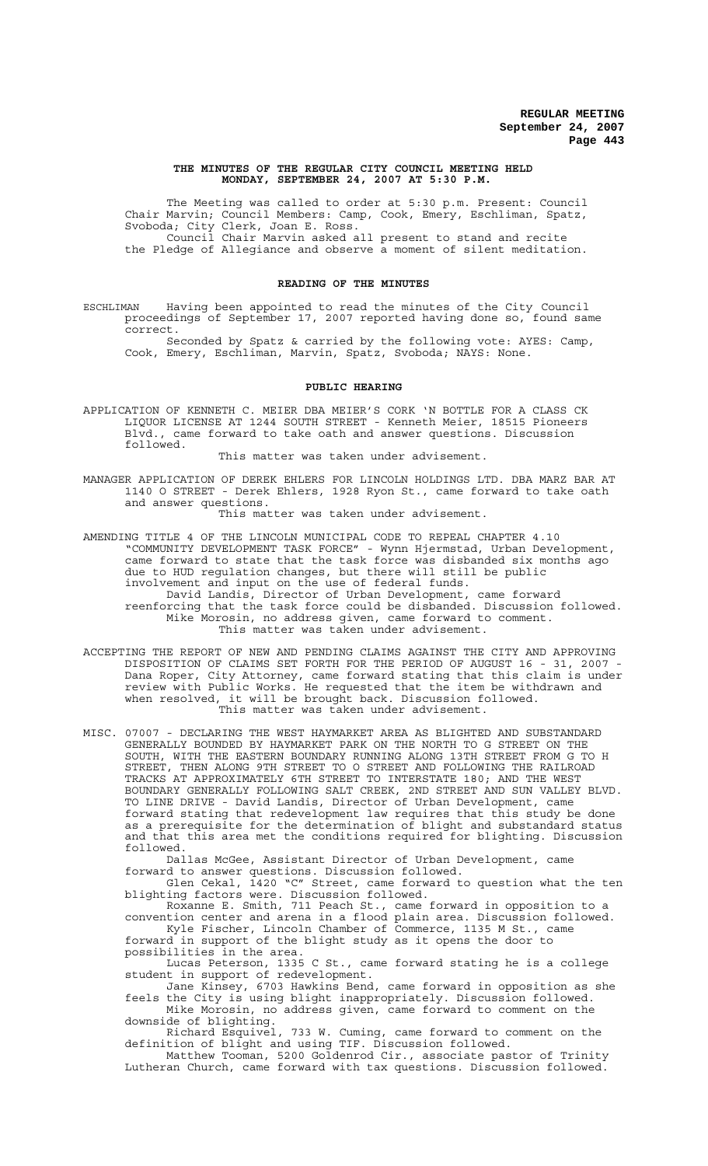#### **THE MINUTES OF THE REGULAR CITY COUNCIL MEETING HELD MONDAY, SEPTEMBER 24, 2007 AT 5:30 P.M.**

The Meeting was called to order at 5:30 p.m. Present: Council Chair Marvin; Council Members: Camp, Cook, Emery, Eschliman, Spatz, Svoboda; City Clerk, Joan E. Ross. Council Chair Marvin asked all present to stand and recite the Pledge of Allegiance and observe a moment of silent meditation.

#### **READING OF THE MINUTES**

ESCHLIMAN Having been appointed to read the minutes of the City Council proceedings of September 17, 2007 reported having done so, found same correct.

Seconded by Spatz & carried by the following vote: AYES: Camp, Cook, Emery, Eschliman, Marvin, Spatz, Svoboda; NAYS: None.

#### **PUBLIC HEARING**

APPLICATION OF KENNETH C. MEIER DBA MEIER'S CORK 'N BOTTLE FOR A CLASS CK LIQUOR LICENSE AT 1244 SOUTH STREET - Kenneth Meier, 18515 Pioneers Blvd., came forward to take oath and answer questions. Discussion followed.

This matter was taken under advisement.

MANAGER APPLICATION OF DEREK EHLERS FOR LINCOLN HOLDINGS LTD. DBA MARZ BAR AT 1140 O STREET - Derek Ehlers, 1928 Ryon St., came forward to take oath and answer questions.

This matter was taken under advisement.

AMENDING TITLE 4 OF THE LINCOLN MUNICIPAL CODE TO REPEAL CHAPTER 4.10 "COMMUNITY DEVELOPMENT TASK FORCE" - Wynn Hjermstad, Urban Development, came forward to state that the task force was disbanded six months ago due to HUD regulation changes, but there will still be public involvement and input on the use of federal funds. David Landis, Director of Urban Development, came forward reenforcing that the task force could be disbanded. Discussion followed. Mike Morosin, no address given, came forward to comment.

This matter was taken under advisement.

ACCEPTING THE REPORT OF NEW AND PENDING CLAIMS AGAINST THE CITY AND APPROVING DISPOSITION OF CLAIMS SET FORTH FOR THE PERIOD OF AUGUST 16 - 31, 2007 - Dana Roper, City Attorney, came forward stating that this claim is under review with Public Works. He requested that the item be withdrawn and when resolved, it will be brought back. Discussion followed. This matter was taken under advisement.

MISC. 07007 - DECLARING THE WEST HAYMARKET AREA AS BLIGHTED AND SUBSTANDARD GENERALLY BOUNDED BY HAYMARKET PARK ON THE NORTH TO G STREET ON THE SOUTH, WITH THE EASTERN BOUNDARY RUNNING ALONG 13TH STREET FROM G TO H STREET, THEN ALONG 9TH STREET TO O STREET AND FOLLOWING THE RAILROAD TRACKS AT APPROXIMATELY 6TH STREET TO INTERSTATE 180; AND THE WEST BOUNDARY GENERALLY FOLLOWING SALT CREEK, 2ND STREET AND SUN VALLEY BLVD. TO LINE DRIVE - David Landis, Director of Urban Development, came forward stating that redevelopment law requires that this study be done as a prerequisite for the determination of blight and substandard status and that this area met the conditions required for blighting. Discussion followed.

Dallas McGee, Assistant Director of Urban Development, came forward to answer questions. Discussion followed.

Glen Cekal, 1420 "C" Street, came forward to question what the ten blighting factors were. Discussion followed.

Roxanne E. Smith, 711 Peach St., came forward in opposition to a convention center and arena in a flood plain area. Discussion followed. Kyle Fischer, Lincoln Chamber of Commerce, 1135 M St., came forward in support of the blight study as it opens the door to possibilities in the area.

Lucas Peterson, 1335 C St., came forward stating he is a college student in support of redevelopment.

Jane Kinsey, 6703 Hawkins Bend, came forward in opposition as she feels the City is using blight inappropriately. Discussion followed.

Mike Morosin, no address given, came forward to comment on the downside of blighting. Richard Esquivel, 733 W. Cuming, came forward to comment on the

definition of blight and using TIF. Discussion followed. Matthew Tooman, 5200 Goldenrod Cir., associate pastor of Trinity

Lutheran Church, came forward with tax questions. Discussion followed.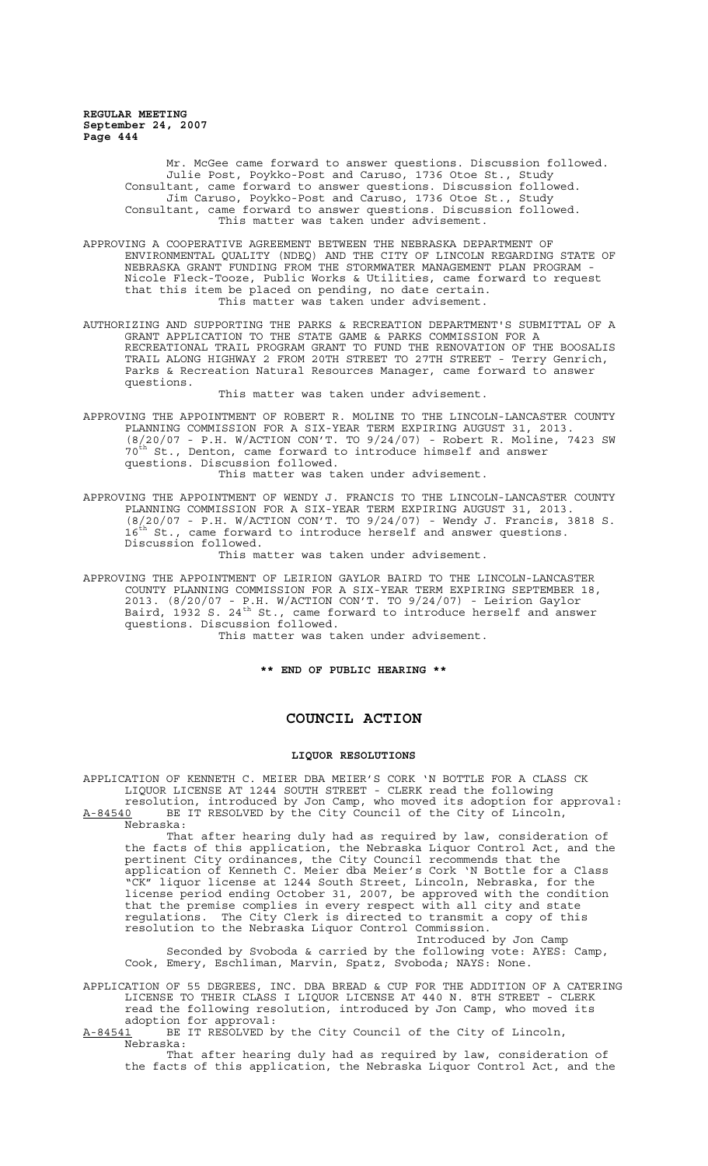> Mr. McGee came forward to answer questions. Discussion followed. Julie Post, Poykko-Post and Caruso, 1736 Otoe St., Study Consultant, came forward to answer questions. Discussion followed. Jim Caruso, Poykko-Post and Caruso, 1736 Otoe St., Study Consultant, came forward to answer questions. Discussion followed. This matter was taken under advisement.

- APPROVING A COOPERATIVE AGREEMENT BETWEEN THE NEBRASKA DEPARTMENT OF ENVIRONMENTAL QUALITY (NDEQ) AND THE CITY OF LINCOLN REGARDING STATE OF NEBRASKA GRANT FUNDING FROM THE STORMWATER MANAGEMENT PLAN PROGRAM - Nicole Fleck-Tooze, Public Works & Utilities, came forward to request that this item be placed on pending, no date certain. This matter was taken under advisement.
- AUTHORIZING AND SUPPORTING THE PARKS & RECREATION DEPARTMENT'S SUBMITTAL OF A GRANT APPLICATION TO THE STATE GAME & PARKS COMMISSION FOR A RECREATIONAL TRAIL PROGRAM GRANT TO FUND THE RENOVATION OF THE BOOSALIS TRAIL ALONG HIGHWAY 2 FROM 20TH STREET TO 27TH STREET - Terry Genrich, Parks & Recreation Natural Resources Manager, came forward to answer questions.

This matter was taken under advisement.

APPROVING THE APPOINTMENT OF ROBERT R. MOLINE TO THE LINCOLN-LANCASTER COUNTY PLANNING COMMISSION FOR A SIX-YEAR TERM EXPIRING AUGUST 31, 2013. (8/20/07 - P.H. W/ACTION CON'T. TO 9/24/07) - Robert R. Moline, 7423 SW  $70^{th}$  St., Denton, came forward to introduce himself and answer questions. Discussion followed.

This matter was taken under advisement.

APPROVING THE APPOINTMENT OF WENDY J. FRANCIS TO THE LINCOLN-LANCASTER COUNTY PLANNING COMMISSION FOR A SIX-YEAR TERM EXPIRING AUGUST 31, 2013. (8/20/07 - P.H. W/ACTION CON'T. TO 9/24/07) - Wendy J. Francis, 3818 S.  $16^{th}$  St., came forward to introduce herself and answer questions. Discussion followed. This matter was taken under advisement.

APPROVING THE APPOINTMENT OF LEIRION GAYLOR BAIRD TO THE LINCOLN-LANCASTER COUNTY PLANNING COMMISSION FOR A SIX-YEAR TERM EXPIRING SEPTEMBER 18, 2013. (8/20/07 - P.H. W/ACTION CON'T. TO 9/24/07) - Leirion Gaylor Baird, 1932 S. 24<sup>th</sup> St., came forward to introduce herself and answer questions. Discussion followed.

This matter was taken under advisement.

**\*\* END OF PUBLIC HEARING \*\***

### **COUNCIL ACTION**

#### **LIQUOR RESOLUTIONS**

APPLICATION OF KENNETH C. MEIER DBA MEIER'S CORK 'N BOTTLE FOR A CLASS CK LIQUOR LICENSE AT 1244 SOUTH STREET - CLERK read the following

resolution, introduced by Jon Camp, who moved its adoption for approval: A-84540 BE IT RESOLVED by the City Council of the City of Lincoln, Nebraska:

That after hearing duly had as required by law, consideration of the facts of this application, the Nebraska Liquor Control Act, and the pertinent City ordinances, the City Council recommends that the application of Kenneth C. Meier dba Meier's Cork 'N Bottle for a Class "CK" liquor license at 1244 South Street, Lincoln, Nebraska, for the license period ending October 31, 2007, be approved with the condition that the premise complies in every respect with all city and state regulations. The City Clerk is directed to transmit a copy of this resolution to the Nebraska Liquor Control Commission. Introduced by Jon Camp

Seconded by Svoboda & carried by the following vote: AYES: Camp, Cook, Emery, Eschliman, Marvin, Spatz, Svoboda; NAYS: None.

APPLICATION OF 55 DEGREES, INC. DBA BREAD & CUP FOR THE ADDITION OF A CATERING LICENSE TO THEIR CLASS I LIQUOR LICENSE AT 440 N. 8TH STREET - CLERK read the following resolution, introduced by Jon Camp, who moved its adoption for approval:<br><u>A-84541</u> BE IT RESOLVED b

BE IT RESOLVED by the City Council of the City of Lincoln, Nebraska:

That after hearing duly had as required by law, consideration of the facts of this application, the Nebraska Liquor Control Act, and the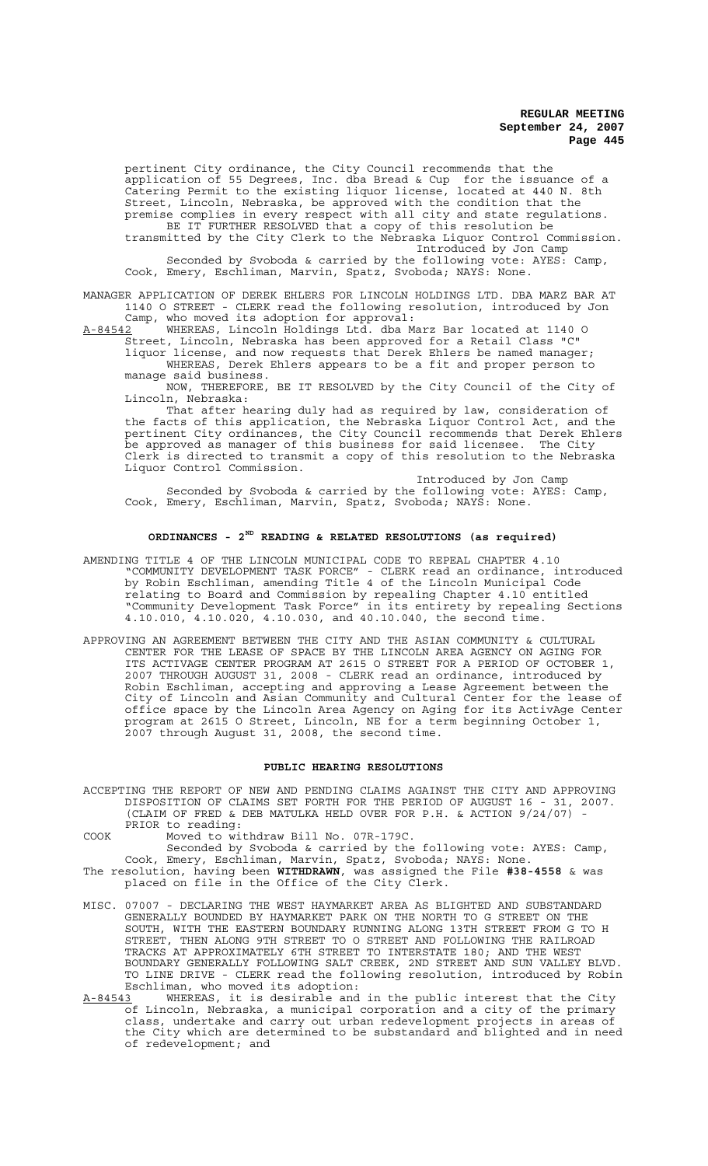pertinent City ordinance, the City Council recommends that the application of 55 Degrees, Inc. dba Bread & Cup for the issuance of a Catering Permit to the existing liquor license, located at 440 N. 8th Street, Lincoln, Nebraska, be approved with the condition that the premise complies in every respect with all city and state regulations. BE IT FURTHER RESOLVED that a copy of this resolution be

transmitted by the City Clerk to the Nebraska Liquor Control Commission. Introduced by Jon Camp Seconded by Svoboda & carried by the following vote: AYES: Camp, Cook, Emery, Eschliman, Marvin, Spatz, Svoboda; NAYS: None.

MANAGER APPLICATION OF DEREK EHLERS FOR LINCOLN HOLDINGS LTD. DBA MARZ BAR AT 1140 O STREET - CLERK read the following resolution, introduced by Jon

Camp, who moved its adoption for approval:

A-84542 WHEREAS, Lincoln Holdings Ltd. dba Marz Bar located at 1140 O Street, Lincoln, Nebraska has been approved for a Retail Class "C" liquor license, and now requests that Derek Ehlers be named manager; WHEREAS, Derek Ehlers appears to be a fit and proper person to

manage said business. NOW, THEREFORE, BE IT RESOLVED by the City Council of the City of Lincoln, Nebraska:

That after hearing duly had as required by law, consideration of the facts of this application, the Nebraska Liquor Control Act, and the pertinent City ordinances, the City Council recommends that Derek Ehlers be approved as manager of this business for said licensee. The City Clerk is directed to transmit a copy of this resolution to the Nebraska Liquor Control Commission.

Introduced by Jon Camp Seconded by Svoboda & carried by the following vote: AYES: Camp, Cook, Emery, Eschliman, Marvin, Spatz, Svoboda; NAYS: None.

# **ORDINANCES - 2ND READING & RELATED RESOLUTIONS (as required)**

- AMENDING TITLE 4 OF THE LINCOLN MUNICIPAL CODE TO REPEAL CHAPTER 4.10 "COMMUNITY DEVELOPMENT TASK FORCE" - CLERK read an ordinance, introduced by Robin Eschliman, amending Title 4 of the Lincoln Municipal Code relating to Board and Commission by repealing Chapter 4.10 entitled "Community Development Task Force" in its entirety by repealing Sections 4.10.010, 4.10.020, 4.10.030, and 40.10.040, the second time.
- APPROVING AN AGREEMENT BETWEEN THE CITY AND THE ASIAN COMMUNITY & CULTURAL CENTER FOR THE LEASE OF SPACE BY THE LINCOLN AREA AGENCY ON AGING FOR ITS ACTIVAGE CENTER PROGRAM AT 2615 O STREET FOR A PERIOD OF OCTOBER 1, 2007 THROUGH AUGUST 31, 2008 - CLERK read an ordinance, introduced by Robin Eschliman, accepting and approving a Lease Agreement between the City of Lincoln and Asian Community and Cultural Center for the lease of office space by the Lincoln Area Agency on Aging for its ActivAge Center program at 2615 O Street, Lincoln, NE for a term beginning October 1, 2007 through August 31, 2008, the second time.

#### **PUBLIC HEARING RESOLUTIONS**

- ACCEPTING THE REPORT OF NEW AND PENDING CLAIMS AGAINST THE CITY AND APPROVING DISPOSITION OF CLAIMS SET FORTH FOR THE PERIOD OF AUGUST 16 - 31, 2007. (CLAIM OF FRED & DEB MATULKA HELD OVER FOR P.H. & ACTION 9/24/07) - PRIOR to reading:
- COOK Moved to withdraw Bill No. 07R-179C.

Seconded by Svoboda & carried by the following vote: AYES: Camp, Cook, Emery, Eschliman, Marvin, Spatz, Svoboda; NAYS: None.

- The resolution, having been **WITHDRAWN**, was assigned the File **#38-4558** & was placed on file in the Office of the City Clerk.
- MISC. 07007 DECLARING THE WEST HAYMARKET AREA AS BLIGHTED AND SUBSTANDARD GENERALLY BOUNDED BY HAYMARKET PARK ON THE NORTH TO G STREET ON THE SOUTH, WITH THE EASTERN BOUNDARY RUNNING ALONG 13TH STREET FROM G TO H STREET, THEN ALONG 9TH STREET TO O STREET AND FOLLOWING THE RAILROAD TRACKS AT APPROXIMATELY 6TH STREET TO INTERSTATE 180; AND THE WEST BOUNDARY GENERALLY FOLLOWING SALT CREEK, 2ND STREET AND SUN VALLEY BLVD. TO LINE DRIVE - CLERK read the following resolution, introduced by Robin Eschliman, who moved its adoption:<br>A-84543 WHEREAS, it is desirable and
- WHEREAS, it is desirable and in the public interest that the City of Lincoln, Nebraska, a municipal corporation and a city of the primary class, undertake and carry out urban redevelopment projects in areas of the City which are determined to be substandard and blighted and in need of redevelopment; and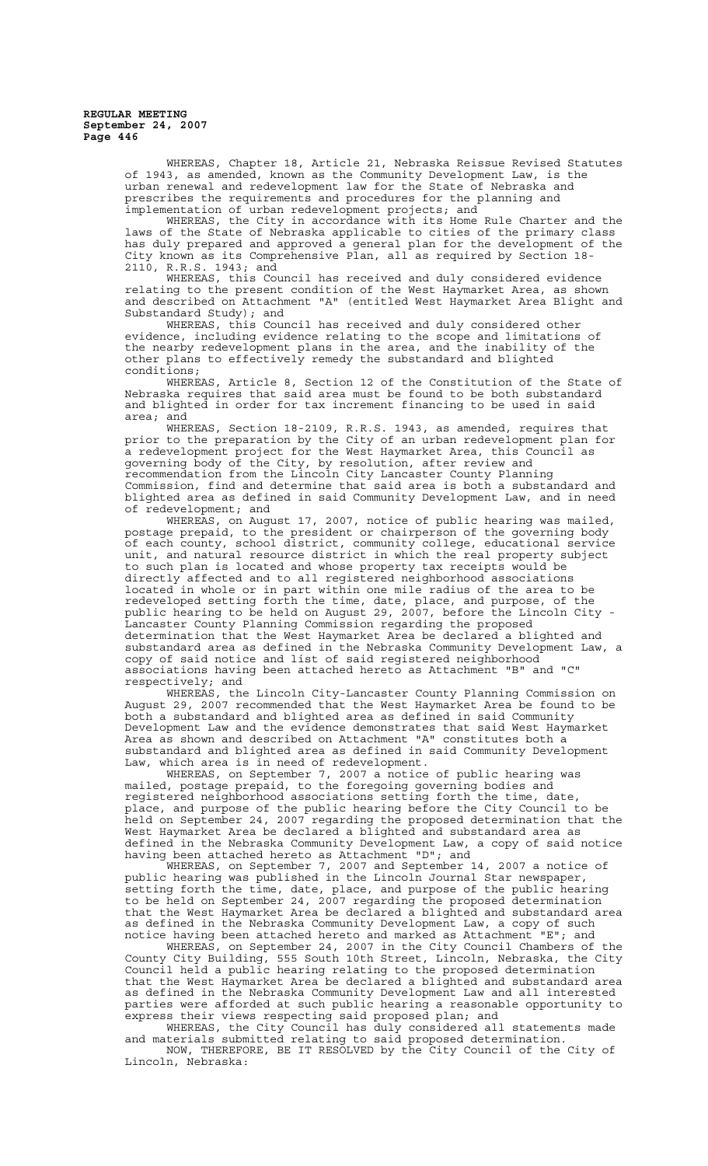> WHEREAS, Chapter 18, Article 21, Nebraska Reissue Revised Statutes of 1943, as amended, known as the Community Development Law, is the urban renewal and redevelopment law for the State of Nebraska and prescribes the requirements and procedures for the planning and implementation of urban redevelopment projects; and

> WHEREAS, the City in accordance with its Home Rule Charter and the laws of the State of Nebraska applicable to cities of the primary class has duly prepared and approved a general plan for the development of the City known as its Comprehensive Plan, all as required by Section 18- 2110, R.R.S. 1943; and

> WHEREAS, this Council has received and duly considered evidence relating to the present condition of the West Haymarket Area, as shown and described on Attachment "A" (entitled West Haymarket Area Blight and Substandard Study); and

WHEREAS, this Council has received and duly considered other evidence, including evidence relating to the scope and limitations of the nearby redevelopment plans in the area, and the inability of the other plans to effectively remedy the substandard and blighted conditions;

WHEREAS, Article 8, Section 12 of the Constitution of the State of Nebraska requires that said area must be found to be both substandard and blighted in order for tax increment financing to be used in said area; and

WHEREAS, Section 18-2109, R.R.S. 1943, as amended, requires that prior to the preparation by the City of an urban redevelopment plan for a redevelopment project for the West Haymarket Area, this Council as governing body of the City, by resolution, after review and recommendation from the Lincoln City Lancaster County Planning Commission, find and determine that said area is both a substandard and blighted area as defined in said Community Development Law, and in need of redevelopment; and

WHEREAS, on August 17, 2007, notice of public hearing was mailed, postage prepaid, to the president or chairperson of the governing body of each county, school district, community college, educational service unit, and natural resource district in which the real property subject to such plan is located and whose property tax receipts would be directly affected and to all registered neighborhood associations located in whole or in part within one mile radius of the area to be redeveloped setting forth the time, date, place, and purpose, of the public hearing to be held on August 29, 2007, before the Lincoln City - Lancaster County Planning Commission regarding the proposed determination that the West Haymarket Area be declared a blighted and substandard area as defined in the Nebraska Community Development Law, a copy of said notice and list of said registered neighborhood associations having been attached hereto as Attachment "B" and "C" respectively; and

WHEREAS, the Lincoln City-Lancaster County Planning Commission on August 29, 2007 recommended that the West Haymarket Area be found to be both a substandard and blighted area as defined in said Community Development Law and the evidence demonstrates that said West Haymarket Area as shown and described on Attachment "A" constitutes both a substandard and blighted area as defined in said Community Development Law, which area is in need of redevelopment.

WHEREAS, on September 7, 2007 a notice of public hearing was mailed, postage prepaid, to the foregoing governing bodies and registered neighborhood associations setting forth the time, date, place, and purpose of the public hearing before the City Council to be held on September 24, 2007 regarding the proposed determination that the West Haymarket Area be declared a blighted and substandard area as defined in the Nebraska Community Development Law, a copy of said notice having been attached hereto as Attachment "D"; and

WHEREAS, on September 7, 2007 and September 14, 2007 a notice of public hearing was published in the Lincoln Journal Star newspaper, setting forth the time, date, place, and purpose of the public hearing to be held on September 24, 2007 regarding the proposed determination that the West Haymarket Area be declared a blighted and substandard area as defined in the Nebraska Community Development Law, a copy of such notice having been attached hereto and marked as Attachment "E"; and notice having been attached hereto and marked as Attachment "E"; and<br>WHEREAS, on September 24, 2007 in the City Council Chambers of the

County City Building, 555 South 10th Street, Lincoln, Nebraska, the City Council held a public hearing relating to the proposed determination that the West Haymarket Area be declared a blighted and substandard area as defined in the Nebraska Community Development Law and all interested parties were afforded at such public hearing a reasonable opportunity to express their views respecting said proposed plan; and

WHEREAS, the City Council has duly considered all statements made and materials submitted relating to said proposed determination. NOW, THEREFORE, BE IT RESOLVED by the City Council of the City of Lincoln, Nebraska: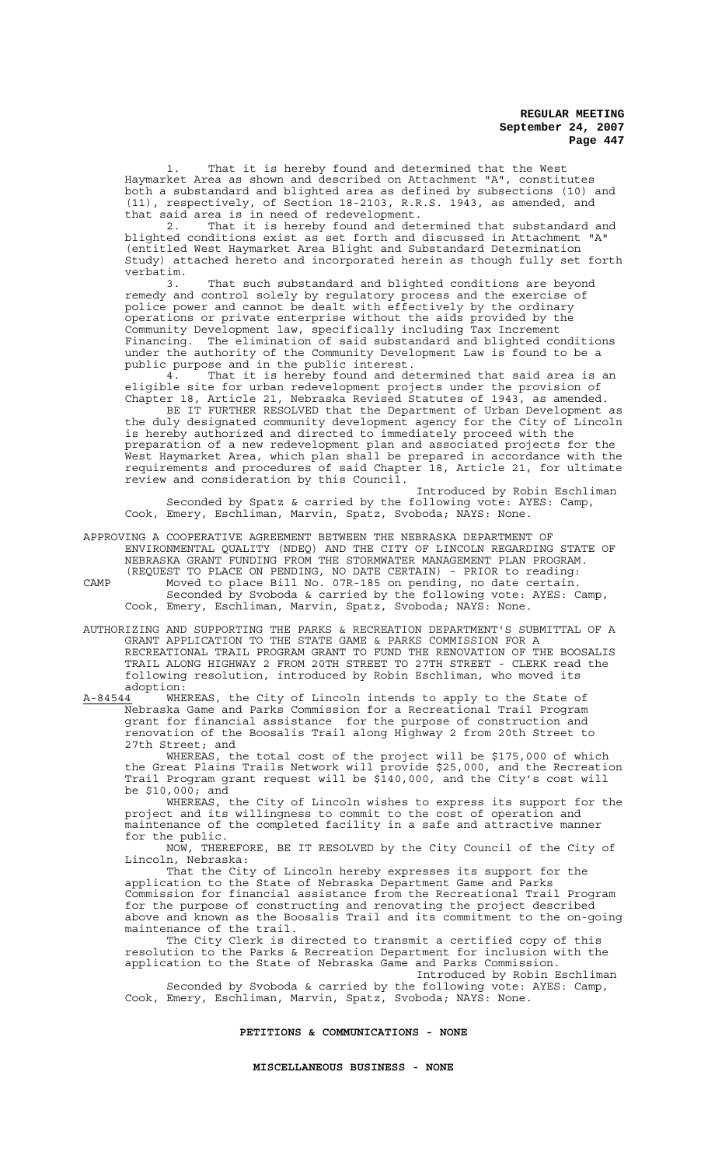1. That it is hereby found and determined that the West Haymarket Area as shown and described on Attachment "A", constitutes both a substandard and blighted area as defined by subsections (10) and (11), respectively, of Section 18-2103, R.R.S. 1943, as amended, and that said area is in need of redevelopment.

2. That it is hereby found and determined that substandard and blighted conditions exist as set forth and discussed in Attachment "A" (entitled West Haymarket Area Blight and Substandard Determination Study) attached hereto and incorporated herein as though fully set forth verbatim.<br>3.

That such substandard and blighted conditions are beyond remedy and control solely by regulatory process and the exercise of police power and cannot be dealt with effectively by the ordinary operations or private enterprise without the aids provided by the Community Development law, specifically including Tax Increment Financing. The elimination of said substandard and blighted conditions under the authority of the Community Development Law is found to be a public purpose and in the public interest.

4. That it is hereby found and determined that said area is an eligible site for urban redevelopment projects under the provision of Chapter 18, Article 21, Nebraska Revised Statutes of 1943, as amended.

BE IT FURTHER RESOLVED that the Department of Urban Development as the duly designated community development agency for the City of Lincoln is hereby authorized and directed to immediately proceed with the preparation of a new redevelopment plan and associated projects for the West Haymarket Area, which plan shall be prepared in accordance with the requirements and procedures of said Chapter 18, Article 21, for ultimate review and consideration by this Council.

Introduced by Robin Eschliman Seconded by Spatz & carried by the following vote: AYES: Camp, Cook, Emery, Eschliman, Marvin, Spatz, Svoboda; NAYS: None.

APPROVING A COOPERATIVE AGREEMENT BETWEEN THE NEBRASKA DEPARTMENT OF ENVIRONMENTAL QUALITY (NDEQ) AND THE CITY OF LINCOLN REGARDING STATE OF NEBRASKA GRANT FUNDING FROM THE STORMWATER MANAGEMENT PLAN PROGRAM. (REQUEST TO PLACE ON PENDING, NO DATE CERTAIN) - PRIOR to reading: CAMP Moved to place Bill No. 07R-185 on pending, no date certain.

- Seconded by Svoboda & carried by the following vote: AYES: Camp, Cook, Emery, Eschliman, Marvin, Spatz, Svoboda; NAYS: None.
- AUTHORIZING AND SUPPORTING THE PARKS & RECREATION DEPARTMENT'S SUBMITTAL OF A GRANT APPLICATION TO THE STATE GAME & PARKS COMMISSION FOR A RECREATIONAL TRAIL PROGRAM GRANT TO FUND THE RENOVATION OF THE BOOSALIS TRAIL ALONG HIGHWAY 2 FROM 20TH STREET TO 27TH STREET - CLERK read the following resolution, introduced by Robin Eschliman, who moved its

adoption:<br>A-84544 WHE  $A-84544$  WHEREAS, the City of Lincoln intends to apply to the State of Nebraska Game and Parks Commission for a Recreational Trail Program grant for financial assistance for the purpose of construction and renovation of the Boosalis Trail along Highway 2 from 20th Street to 27th Street; and

WHEREAS, the total cost of the project will be \$175,000 of which the Great Plains Trails Network will provide \$25,000, and the Recreation Trail Program grant request will be \$140,000, and the City's cost will be \$10,000; and

WHEREAS, the City of Lincoln wishes to express its support for the project and its willingness to commit to the cost of operation and maintenance of the completed facility in a safe and attractive manner for the public.

NOW, THEREFORE, BE IT RESOLVED by the City Council of the City of Lincoln, Nebraska:

That the City of Lincoln hereby expresses its support for the application to the State of Nebraska Department Game and Parks Commission for financial assistance from the Recreational Trail Program for the purpose of constructing and renovating the project described above and known as the Boosalis Trail and its commitment to the on-going maintenance of the trail.

The City Clerk is directed to transmit a certified copy of this resolution to the Parks & Recreation Department for inclusion with the application to the State of Nebraska Game and Parks Commission.

Introduced by Robin Eschliman Seconded by Svoboda & carried by the following vote: AYES: Camp, Cook, Emery, Eschliman, Marvin, Spatz, Svoboda; NAYS: None.

#### **PETITIONS & COMMUNICATIONS - NONE**

**MISCELLANEOUS BUSINESS - NONE**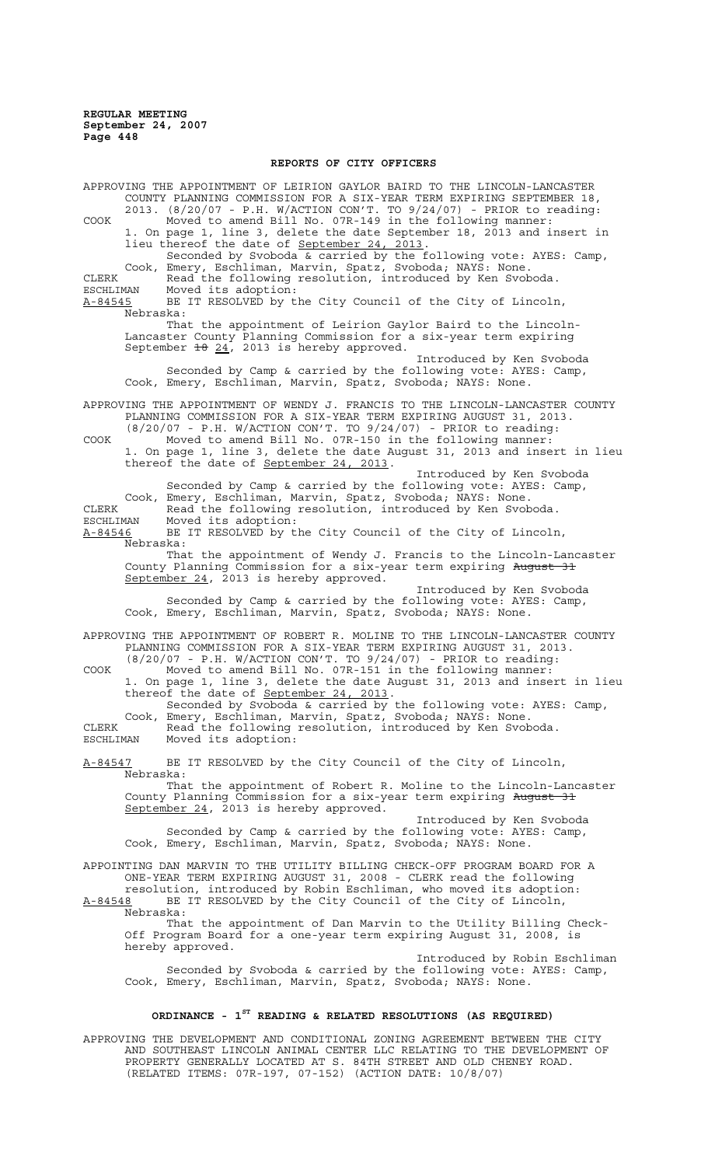## **REPORTS OF CITY OFFICERS**

APPROVING THE APPOINTMENT OF LEIRION GAYLOR BAIRD TO THE LINCOLN-LANCASTER COUNTY PLANNING COMMISSION FOR A SIX-YEAR TERM EXPIRING SEPTEMBER 18, 2013. (8/20/07 - P.H. W/ACTION CON'T. TO 9/24/07) - PRIOR to reading: COOK Moved to amend Bill No. 07R-149 in the following manner: 1. On page 1, line 3, delete the date September 18, 2013 and insert in lieu thereof the date of September 24, 2013. Seconded by Svoboda & carried by the following vote: AYES: Camp, Cook, Emery, Eschliman, Marvin, Spatz, Svoboda; NAYS: None. CLERK Read the following resolution, introduced by Ken Svoboda. ESCHLIMAN Moved its adoption:<br><u>A-84545</u> BE IT RESOLVED by t BE IT RESOLVED by the City Council of the City of Lincoln, Nebraska: That the appointment of Leirion Gaylor Baird to the Lincoln-Lancaster County Planning Commission for a six-year term expiring September  $\pm 8$   $24$ , 2013 is hereby approved. Introduced by Ken Svoboda Seconded by Camp & carried by the following vote: AYES: Camp, Cook, Emery, Eschliman, Marvin, Spatz, Svoboda; NAYS: None. APPROVING THE APPOINTMENT OF WENDY J. FRANCIS TO THE LINCOLN-LANCASTER COUNTY PLANNING COMMISSION FOR A SIX-YEAR TERM EXPIRING AUGUST 31, 2013. (8/20/07 - P.H. W/ACTION CON'T. TO 9/24/07) - PRIOR to reading: COOK Moved to amend Bill No. 07R-150 in the following manner: 1. On page 1, line 3, delete the date August 31, 2013 and insert in lieu thereof the date of September 24, 2013. Introduced by Ken Svoboda Seconded by Camp & carried by the following vote: AYES: Camp, Cook, Emery, Eschliman, Marvin, Spatz, Svoboda; NAYS: None. CLERK Read the following resolution, introduced by Ken Svoboda. ESCHLIMAN Moved its adoption: A-84546 BE IT RESOLVED by the City Council of the City of Lincoln, Nebraska: That the appointment of Wendy J. Francis to the Lincoln-Lancaster County Planning Commission for a six-year term expiring August 31 September 24, 2013 is hereby approved. Introduced by Ken Svoboda Seconded by Camp & carried by the following vote: AYES: Camp, Cook, Emery, Eschliman, Marvin, Spatz, Svoboda; NAYS: None. APPROVING THE APPOINTMENT OF ROBERT R. MOLINE TO THE LINCOLN-LANCASTER COUNTY PLANNING COMMISSION FOR A SIX-YEAR TERM EXPIRING AUGUST 31, 2013. (8/20/07 - P.H. W/ACTION CON'T. TO 9/24/07) - PRIOR to reading: COOK Moved to amend Bill No. 07R-151 in the following manner: 1. On page 1, line 3, delete the date August 31, 2013 and insert in lieu thereof the date of September 24, 2013. Seconded by Svoboda & carried by the following vote: AYES: Camp, Cook, Emery, Eschliman, Marvin, Spatz, Svoboda; NAYS: None. CLERK Read the following resolution, introduced by Ken Svoboda. ESCHLIMAN Moved its adoption: A-84547 BE IT RESOLVED by the City Council of the City of Lincoln, Nebraska: That the appointment of Robert R. Moline to the Lincoln-Lancaster County Planning Commission for a six-year term expiring August 31 September 24, 2013 is hereby approved. Introduced by Ken Svoboda Seconded by Camp & carried by the following vote: AYES: Camp, Cook, Emery, Eschliman, Marvin, Spatz, Svoboda; NAYS: None. APPOINTING DAN MARVIN TO THE UTILITY BILLING CHECK-OFF PROGRAM BOARD FOR A ONE-YEAR TERM EXPIRING AUGUST 31, 2008 - CLERK read the following resolution, introduced by Robin Eschliman, who moved its adoption: A-84548 BE IT RESOLVED by the City Council of the City of Lincoln, Nebraska: That the appointment of Dan Marvin to the Utility Billing Check-Off Program Board for a one-year term expiring August 31, 2008, is hereby approved. Introduced by Robin Eschliman Seconded by Svoboda & carried by the following vote: AYES: Camp, Cook, Emery, Eschliman, Marvin, Spatz, Svoboda; NAYS: None. **ORDINANCE - 1ST READING & RELATED RESOLUTIONS (AS REQUIRED)**

APPROVING THE DEVELOPMENT AND CONDITIONAL ZONING AGREEMENT BETWEEN THE CITY AND SOUTHEAST LINCOLN ANIMAL CENTER LLC RELATING TO THE DEVELOPMENT OF PROPERTY GENERALLY LOCATED AT S. 84TH STREET AND OLD CHENEY ROAD. (RELATED ITEMS: 07R-197, 07-152) (ACTION DATE: 10/8/07)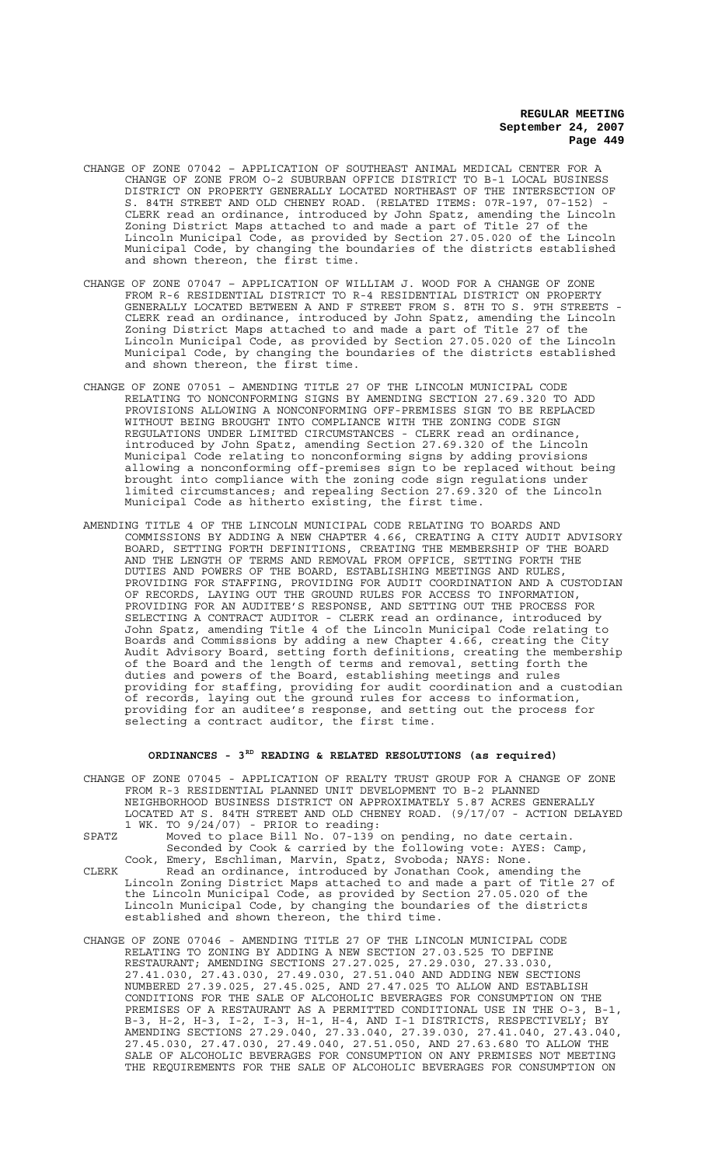- CHANGE OF ZONE 07042 APPLICATION OF SOUTHEAST ANIMAL MEDICAL CENTER FOR A CHANGE OF ZONE FROM O-2 SUBURBAN OFFICE DISTRICT TO B-1 LOCAL BUSINESS DISTRICT ON PROPERTY GENERALLY LOCATED NORTHEAST OF THE INTERSECTION OF S. 84TH STREET AND OLD CHENEY ROAD. (RELATED ITEMS: 07R-197, 07-152) - CLERK read an ordinance, introduced by John Spatz, amending the Lincoln Zoning District Maps attached to and made a part of Title 27 of the Lincoln Municipal Code, as provided by Section 27.05.020 of the Lincoln Municipal Code, by changing the boundaries of the districts established and shown thereon, the first time.
- CHANGE OF ZONE 07047 APPLICATION OF WILLIAM J. WOOD FOR A CHANGE OF ZONE FROM R-6 RESIDENTIAL DISTRICT TO R-4 RESIDENTIAL DISTRICT ON PROPERTY GENERALLY LOCATED BETWEEN A AND F STREET FROM S. 8TH TO S. 9TH STREETS - CLERK read an ordinance, introduced by John Spatz, amending the Lincoln Zoning District Maps attached to and made a part of Title 27 of the Lincoln Municipal Code, as provided by Section 27.05.020 of the Lincoln Municipal Code, by changing the boundaries of the districts established and shown thereon, the first time.
- CHANGE OF ZONE 07051 AMENDING TITLE 27 OF THE LINCOLN MUNICIPAL CODE RELATING TO NONCONFORMING SIGNS BY AMENDING SECTION 27.69.320 TO ADD PROVISIONS ALLOWING A NONCONFORMING OFF-PREMISES SIGN TO BE REPLACED WITHOUT BEING BROUGHT INTO COMPLIANCE WITH THE ZONING CODE SIGN REGULATIONS UNDER LIMITED CIRCUMSTANCES - CLERK read an ordinance, introduced by John Spatz, amending Section 27.69.320 of the Lincoln Municipal Code relating to nonconforming signs by adding provisions allowing a nonconforming off-premises sign to be replaced without being brought into compliance with the zoning code sign regulations under limited circumstances; and repealing Section 27.69.320 of the Lincoln Municipal Code as hitherto existing, the first time.
- AMENDING TITLE 4 OF THE LINCOLN MUNICIPAL CODE RELATING TO BOARDS AND COMMISSIONS BY ADDING A NEW CHAPTER 4.66, CREATING A CITY AUDIT ADVISORY BOARD, SETTING FORTH DEFINITIONS, CREATING THE MEMBERSHIP OF THE BOARD AND THE LENGTH OF TERMS AND REMOVAL FROM OFFICE, SETTING FORTH THE DUTIES AND POWERS OF THE BOARD, ESTABLISHING MEETINGS AND RULES, PROVIDING FOR STAFFING, PROVIDING FOR AUDIT COORDINATION AND A CUSTODIAN OF RECORDS, LAYING OUT THE GROUND RULES FOR ACCESS TO INFORMATION, PROVIDING FOR AN AUDITEE'S RESPONSE, AND SETTING OUT THE PROCESS FOR SELECTING A CONTRACT AUDITOR - CLERK read an ordinance, introduced by John Spatz, amending Title 4 of the Lincoln Municipal Code relating to Boards and Commissions by adding a new Chapter 4.66, creating the City Audit Advisory Board, setting forth definitions, creating the membership of the Board and the length of terms and removal, setting forth the duties and powers of the Board, establishing meetings and rules providing for staffing, providing for audit coordination and a custodian of records, laying out the ground rules for access to information, providing for an auditee's response, and setting out the process for selecting a contract auditor, the first time.

#### **ORDINANCES - 3RD READING & RELATED RESOLUTIONS (as required)**

CHANGE OF ZONE 07045 - APPLICATION OF REALTY TRUST GROUP FOR A CHANGE OF ZONE FROM R-3 RESIDENTIAL PLANNED UNIT DEVELOPMENT TO B-2 PLANNED NEIGHBORHOOD BUSINESS DISTRICT ON APPROXIMATELY 5.87 ACRES GENERALLY LOCATED AT S. 84TH STREET AND OLD CHENEY ROAD. (9/17/07 - ACTION DELAYED 1 WK. TO 9/24/07) - PRIOR to reading:

SPATZ Moved to place Bill No. 07-139 on pending, no date certain. Seconded by Cook & carried by the following vote: AYES: Camp, Cook, Emery, Eschliman, Marvin, Spatz, Svoboda; NAYS: None.

- CLERK Read an ordinance, introduced by Jonathan Cook, amending the Lincoln Zoning District Maps attached to and made a part of Title 27 of the Lincoln Municipal Code, as provided by Section 27.05.020 of the Lincoln Municipal Code, by changing the boundaries of the districts established and shown thereon, the third time.
- CHANGE OF ZONE 07046 AMENDING TITLE 27 OF THE LINCOLN MUNICIPAL CODE RELATING TO ZONING BY ADDING A NEW SECTION 27.03.525 TO DEFINE RESTAURANT; AMENDING SECTIONS 27.27.025, 27.29.030, 27.33.030, 27.41.030, 27.43.030, 27.49.030, 27.51.040 AND ADDING NEW SECTIONS NUMBERED 27.39.025, 27.45.025, AND 27.47.025 TO ALLOW AND ESTABLISH CONDITIONS FOR THE SALE OF ALCOHOLIC BEVERAGES FOR CONSUMPTION ON THE PREMISES OF A RESTAURANT AS A PERMITTED CONDITIONAL USE IN THE O-3, B-1, B-3, H-2, H-3, I-2, I-3, H-1, H-4, AND I-1 DISTRICTS, RESPECTIVELY; BY AMENDING SECTIONS 27.29.040, 27.33.040, 27.39.030, 27.41.040, 27.43.040, 27.45.030, 27.47.030, 27.49.040, 27.51.050, AND 27.63.680 TO ALLOW THE SALE OF ALCOHOLIC BEVERAGES FOR CONSUMPTION ON ANY PREMISES NOT MEETING THE REQUIREMENTS FOR THE SALE OF ALCOHOLIC BEVERAGES FOR CONSUMPTION ON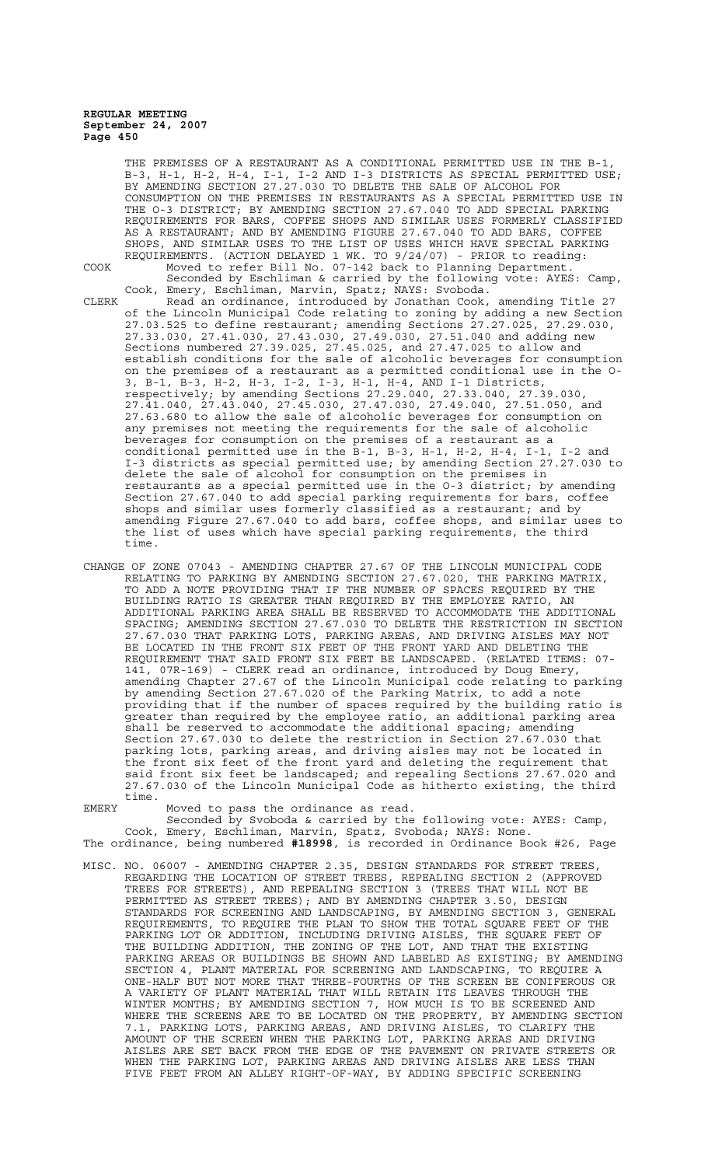THE PREMISES OF A RESTAURANT AS A CONDITIONAL PERMITTED USE IN THE B-1, B-3, H-1, H-2, H-4, I-1, I-2 AND I-3 DISTRICTS AS SPECIAL PERMITTED USE; BY AMENDING SECTION 27.27.030 TO DELETE THE SALE OF ALCOHOL FOR CONSUMPTION ON THE PREMISES IN RESTAURANTS AS A SPECIAL PERMITTED USE IN THE O-3 DISTRICT; BY AMENDING SECTION 27.67.040 TO ADD SPECIAL PARKING REQUIREMENTS FOR BARS, COFFEE SHOPS AND SIMILAR USES FORMERLY CLASSIFIED AS A RESTAURANT; AND BY AMENDING FIGURE 27.67.040 TO ADD BARS, COFFEE SHOPS, AND SIMILAR USES TO THE LIST OF USES WHICH HAVE SPECIAL PARKING REQUIREMENTS. (ACTION DELAYED 1 WK. TO 9/24/07) - PRIOR to reading: COOK Moved to refer Bill No. 07-142 back to Planning Department.

Seconded by Eschliman & carried by the following vote: AYES: Camp,

Cook, Emery, Eschliman, Marvin, Spatz; NAYS: Svoboda. CLERK Read an ordinance, introduced by Jonathan Cook, amending Title 27 of the Lincoln Municipal Code relating to zoning by adding a new Section 27.03.525 to define restaurant; amending Sections 27.27.025, 27.29.030, 27.33.030, 27.41.030, 27.43.030, 27.49.030, 27.51.040 and adding new Sections numbered 27.39.025, 27.45.025, and 27.47.025 to allow and establish conditions for the sale of alcoholic beverages for consumption on the premises of a restaurant as a permitted conditional use in the O-3, B-1, B-3, H-2, H-3, I-2, I-3, H-1, H-4, AND I-1 Districts, respectively; by amending Sections 27.29.040, 27.33.040, 27.39.030, 27.41.040, 27.43.040, 27.45.030, 27.47.030, 27.49.040, 27.51.050, and 27.63.680 to allow the sale of alcoholic beverages for consumption on any premises not meeting the requirements for the sale of alcoholic beverages for consumption on the premises of a restaurant as a conditional permitted use in the B-1, B-3, H-1, H-2, H-4, I-1, I-2 and I-3 districts as special permitted use; by amending Section 27.27.030 to delete the sale of alcohol for consumption on the premises in restaurants as a special permitted use in the O-3 district; by amending Section 27.67.040 to add special parking requirements for bars, coffee shops and similar uses formerly classified as a restaurant; and by amending Figure 27.67.040 to add bars, coffee shops, and similar uses to the list of uses which have special parking requirements, the third time.

CHANGE OF ZONE 07043 - AMENDING CHAPTER 27.67 OF THE LINCOLN MUNICIPAL CODE RELATING TO PARKING BY AMENDING SECTION 27.67.020, THE PARKING MATRIX, TO ADD A NOTE PROVIDING THAT IF THE NUMBER OF SPACES REQUIRED BY THE BUILDING RATIO IS GREATER THAN REQUIRED BY THE EMPLOYEE RATIO, AN ADDITIONAL PARKING AREA SHALL BE RESERVED TO ACCOMMODATE THE ADDITIONAL SPACING; AMENDING SECTION 27.67.030 TO DELETE THE RESTRICTION IN SECTION 27.67.030 THAT PARKING LOTS, PARKING AREAS, AND DRIVING AISLES MAY NOT BE LOCATED IN THE FRONT SIX FEET OF THE FRONT YARD AND DELETING THE REQUIREMENT THAT SAID FRONT SIX FEET BE LANDSCAPED. (RELATED ITEMS: 07- 141, 07R-169) - CLERK read an ordinance, introduced by Doug Emery, amending Chapter 27.67 of the Lincoln Municipal code relating to parking by amending Section 27.67.020 of the Parking Matrix, to add a note providing that if the number of spaces required by the building ratio is greater than required by the employee ratio, an additional parking area shall be reserved to accommodate the additional spacing; amending Section 27.67.030 to delete the restriction in Section 27.67.030 that parking lots, parking areas, and driving aisles may not be located in the front six feet of the front yard and deleting the requirement that said front six feet be landscaped; and repealing Sections 27.67.020 and 27.67.030 of the Lincoln Municipal Code as hitherto existing, the third time.

EMERY Moved to pass the ordinance as read.

Seconded by Svoboda & carried by the following vote: AYES: Camp, Cook, Emery, Eschliman, Marvin, Spatz, Svoboda; NAYS: None. The ordinance, being numbered **#18998**, is recorded in Ordinance Book #26, Page

MISC. NO. 06007 - AMENDING CHAPTER 2.35, DESIGN STANDARDS FOR STREET TREES, REGARDING THE LOCATION OF STREET TREES, REPEALING SECTION 2 (APPROVED TREES FOR STREETS), AND REPEALING SECTION 3 (TREES THAT WILL NOT BE PERMITTED AS STREET TREES); AND BY AMENDING CHAPTER 3.50, DESIGN STANDARDS FOR SCREENING AND LANDSCAPING, BY AMENDING SECTION 3, GENERAL REQUIREMENTS, TO REQUIRE THE PLAN TO SHOW THE TOTAL SQUARE FEET OF THE PARKING LOT OR ADDITION, INCLUDING DRIVING AISLES, THE SQUARE FEET OF THE BUILDING ADDITION, THE ZONING OF THE LOT, AND THAT THE EXISTING PARKING AREAS OR BUILDINGS BE SHOWN AND LABELED AS EXISTING; BY AMENDING SECTION 4, PLANT MATERIAL FOR SCREENING AND LANDSCAPING, TO REQUIRE A ONE-HALF BUT NOT MORE THAT THREE-FOURTHS OF THE SCREEN BE CONIFEROUS OR A VARIETY OF PLANT MATERIAL THAT WILL RETAIN ITS LEAVES THROUGH THE WINTER MONTHS; BY AMENDING SECTION 7, HOW MUCH IS TO BE SCREENED AND WHERE THE SCREENS ARE TO BE LOCATED ON THE PROPERTY, BY AMENDING SECTION 7.1, PARKING LOTS, PARKING AREAS, AND DRIVING AISLES, TO CLARIFY THE AMOUNT OF THE SCREEN WHEN THE PARKING LOT, PARKING AREAS AND DRIVING AISLES ARE SET BACK FROM THE EDGE OF THE PAVEMENT ON PRIVATE STREETS OR WHEN THE PARKING LOT, PARKING AREAS AND DRIVING AISLES ARE LESS THAN FIVE FEET FROM AN ALLEY RIGHT-OF-WAY, BY ADDING SPECIFIC SCREENING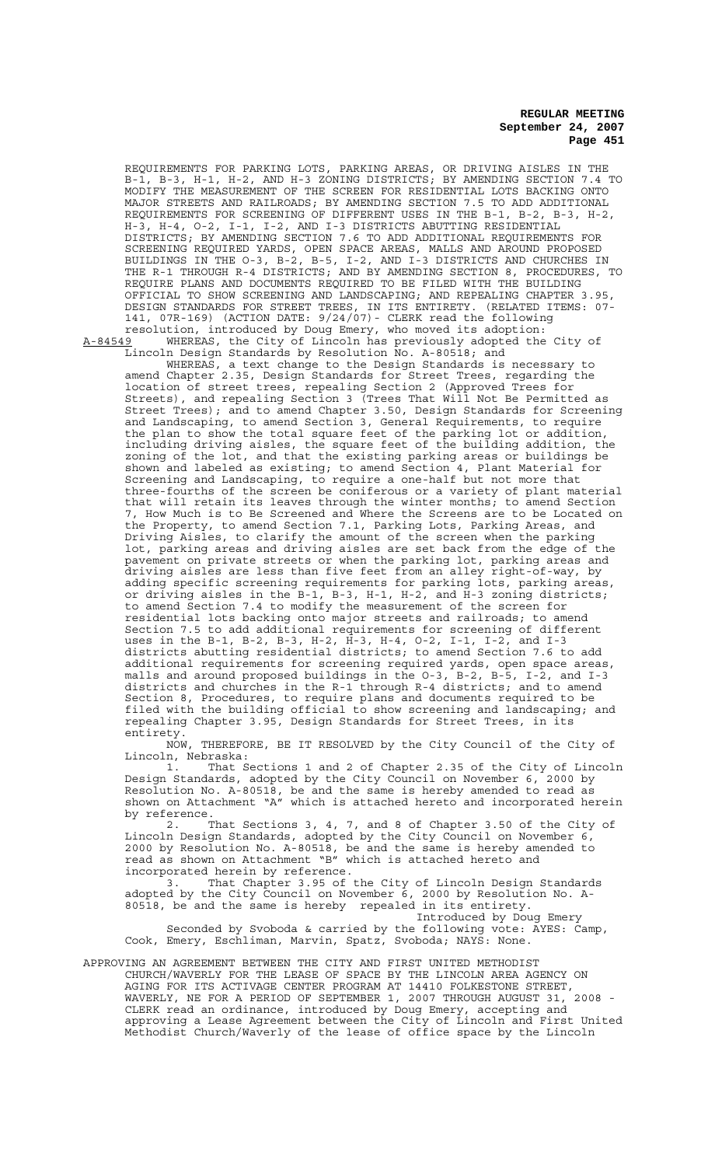REQUIREMENTS FOR PARKING LOTS, PARKING AREAS, OR DRIVING AISLES IN THE B-1, B-3, H-1, H-2, AND H-3 ZONING DISTRICTS; BY AMENDING SECTION 7.4 TO MODIFY THE MEASUREMENT OF THE SCREEN FOR RESIDENTIAL LOTS BACKING ONTO MAJOR STREETS AND RAILROADS; BY AMENDING SECTION 7.5 TO ADD ADDITIONAL REQUIREMENTS FOR SCREENING OF DIFFERENT USES IN THE B-1, B-2, B-3, H-2, H-3, H-4, O-2, I-1, I-2, AND I-3 DISTRICTS ABUTTING RESIDENTIAL DISTRICTS; BY AMENDING SECTION 7.6 TO ADD ADDITIONAL REQUIREMENTS FOR SCREENING REQUIRED YARDS, OPEN SPACE AREAS, MALLS AND AROUND PROPOSED BUILDINGS IN THE O-3, B-2, B-5, I-2, AND I-3 DISTRICTS AND CHURCHES IN THE R-1 THROUGH R-4 DISTRICTS; AND BY AMENDING SECTION 8, PROCEDURES, TO REQUIRE PLANS AND DOCUMENTS REQUIRED TO BE FILED WITH THE BUILDING OFFICIAL TO SHOW SCREENING AND LANDSCAPING; AND REPEALING CHAPTER 3.95, DESIGN STANDARDS FOR STREET TREES, IN ITS ENTIRETY. (RELATED ITEMS: 07- 141, 07R-169) (ACTION DATE: 9/24/07)- CLERK read the following resolution, introduced by Doug Emery, who moved its adoption:

A-84549 WHEREAS, the City of Lincoln has previously adopted the City of Lincoln Design Standards by Resolution No. A-80518; and

WHEREAS, a text change to the Design Standards is necessary to amend Chapter 2.35, Design Standards for Street Trees, regarding the location of street trees, repealing Section 2 (Approved Trees for Streets), and repealing Section 3 (Trees That Will Not Be Permitted as Street Trees); and to amend Chapter 3.50, Design Standards for Screening and Landscaping, to amend Section 3, General Requirements, to require the plan to show the total square feet of the parking lot or addition, including driving aisles, the square feet of the building addition, the zoning of the lot, and that the existing parking areas or buildings be shown and labeled as existing; to amend Section 4, Plant Material for Screening and Landscaping, to require a one-half but not more that three-fourths of the screen be coniferous or a variety of plant material that will retain its leaves through the winter months; to amend Section 7, How Much is to Be Screened and Where the Screens are to be Located on the Property, to amend Section 7.1, Parking Lots, Parking Areas, and Driving Aisles, to clarify the amount of the screen when the parking lot, parking areas and driving aisles are set back from the edge of the pavement on private streets or when the parking lot, parking areas and driving aisles are less than five feet from an alley right-of-way, by adding specific screening requirements for parking lots, parking areas, or driving aisles in the B-1, B-3, H-1, H-2, and H-3 zoning districts; to amend Section 7.4 to modify the measurement of the screen for residential lots backing onto major streets and railroads; to amend Section 7.5 to add additional requirements for screening of different uses in the B-1, B-2, B-3, H-2, H-3, H-4, O-2, I-1, I-2, and I-3 districts abutting residential districts; to amend Section 7.6 to add additional requirements for screening required yards, open space areas, malls and around proposed buildings in the O-3, B-2, B-5, I-2, and I-3 districts and churches in the R-1 through R-4 districts; and to amend Section 8, Procedures, to require plans and documents required to be filed with the building official to show screening and landscaping; and repealing Chapter 3.95, Design Standards for Street Trees, in its

entirety.<br>NOW, THEREFORE, BE IT RESOLVED by the City Council of the City of Lincoln, Nebraska:

1. That Sections 1 and 2 of Chapter 2.35 of the City of Lincoln<br>1. That Sections 1 and 2 of Chapter 2.35 of the City of Lincoln<br>1. Standards, adopted by the City Council on November 6, 2000 by Design Standards, adopted by the City Council on November 6, 2000 by Resolution No. A-80518, be and the same is hereby amended to read as shown on Attachment "A" which is attached hereto and incorporated herein by reference.

2. That Sections 3, 4, 7, and 8 of Chapter 3.50 of the City of Lincoln Design Standards, adopted by the City Council on November 6, 2000 by Resolution No. A-80518, be and the same is hereby amended to read as shown on Attachment "B" which is attached hereto and incorporated herein by reference.

3. That Chapter 3.95 of the City of Lincoln Design Standards adopted by the City Council on November 6, 2000 by Resolution No. A-80518, be and the same is hereby repealed in its entirety. Introduced by Doug Emery

Seconded by Svoboda & carried by the following vote: AYES: Camp, Cook, Emery, Eschliman, Marvin, Spatz, Svoboda; NAYS: None.

APPROVING AN AGREEMENT BETWEEN THE CITY AND FIRST UNITED METHODIST CHURCH/WAVERLY FOR THE LEASE OF SPACE BY THE LINCOLN AREA AGENCY ON AGING FOR ITS ACTIVAGE CENTER PROGRAM AT 14410 FOLKESTONE STREET, WAVERLY, NE FOR A PERIOD OF SEPTEMBER 1, 2007 THROUGH AUGUST 31, 2008 - CLERK read an ordinance, introduced by Doug Emery, accepting and approving a Lease Agreement between the City of Lincoln and First United Methodist Church/Waverly of the lease of office space by the Lincoln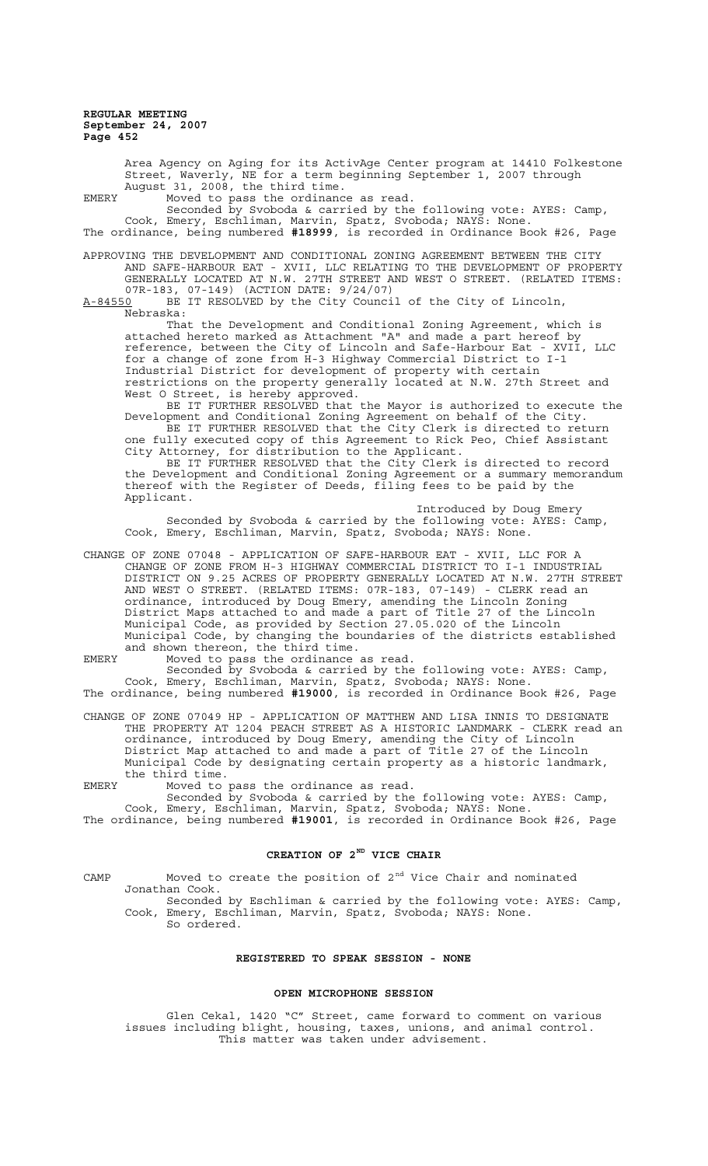> Area Agency on Aging for its ActivAge Center program at 14410 Folkestone Street, Waverly, NE for a term beginning September 1, 2007 through August 31, 2008, the third time.

EMERY Moved to pass the ordinance as read.

Seconded by Svoboda & carried by the following vote: AYES: Camp, Cook, Emery, Eschliman, Marvin, Spatz, Svoboda; NAYS: None. The ordinance, being numbered **#18999**, is recorded in Ordinance Book #26, Page

APPROVING THE DEVELOPMENT AND CONDITIONAL ZONING AGREEMENT BETWEEN THE CITY AND SAFE-HARBOUR EAT - XVII, LLC RELATING TO THE DEVELOPMENT OF PROPERTY GENERALLY LOCATED AT N.W. 27TH STREET AND WEST O STREET. (RELATED ITEMS: 07R-183, 07-149) (ACTION DATE:  $9/24/07$ )<br>A-84550 BE IT RESOLVED by the City Counci

BE IT RESOLVED by the City Council of the City of Lincoln, Nebraska:

That the Development and Conditional Zoning Agreement, which is attached hereto marked as Attachment "A" and made a part hereof by reference, between the City of Lincoln and Safe-Harbour Eat - XVII, LLC for a change of zone from H-3 Highway Commercial District to I-1 Industrial District for development of property with certain restrictions on the property generally located at N.W. 27th Street and West O Street, is hereby approved.

BE IT FURTHER RESOLVED that the Mayor is authorized to execute the Development and Conditional Zoning Agreement on behalf of the City. BE IT FURTHER RESOLVED that the City Clerk is directed to return one fully executed copy of this Agreement to Rick Peo, Chief Assistant City Attorney, for distribution to the Applicant.

BE IT FURTHER RESOLVED that the City Clerk is directed to record the Development and Conditional Zoning Agreement or a summary memorandum thereof with the Register of Deeds, filing fees to be paid by the Applicant.

Introduced by Doug Emery Seconded by Svoboda & carried by the following vote: AYES: Camp, Cook, Emery, Eschliman, Marvin, Spatz, Svoboda; NAYS: None.

CHANGE OF ZONE 07048 - APPLICATION OF SAFE-HARBOUR EAT - XVII, LLC FOR A CHANGE OF ZONE FROM H-3 HIGHWAY COMMERCIAL DISTRICT TO I-1 INDUSTRIAL DISTRICT ON 9.25 ACRES OF PROPERTY GENERALLY LOCATED AT N.W. 27TH STREET AND WEST O STREET. (RELATED ITEMS: 07R-183, 07-149) - CLERK read an ordinance, introduced by Doug Emery, amending the Lincoln Zoning District Maps attached to and made a part of Title 27 of the Lincoln Municipal Code, as provided by Section 27.05.020 of the Lincoln Municipal Code, by changing the boundaries of the districts established and shown thereon, the third time.

EMERY Moved to pass the ordinance as read.

Seconded by Svoboda & carried by the following vote: AYES: Camp, Cook, Emery, Eschliman, Marvin, Spatz, Svoboda; NAYS: None. The ordinance, being numbered **#19000**, is recorded in Ordinance Book #26, Page

CHANGE OF ZONE 07049 HP - APPLICATION OF MATTHEW AND LISA INNIS TO DESIGNATE THE PROPERTY AT 1204 PEACH STREET AS A HISTORIC LANDMARK - CLERK read an ordinance, introduced by Doug Emery, amending the City of Lincoln District Map attached to and made a part of Title 27 of the Lincoln Municipal Code by designating certain property as a historic landmark, the third time.

EMERY Moved to pass the ordinance as read. Seconded by Svoboda & carried by the following vote: AYES: Camp,

Cook, Emery, Eschliman, Marvin, Spatz, Svoboda; NAYS: None. The ordinance, being numbered **#19001**, is recorded in Ordinance Book #26, Page

# **CREATION OF 2ND VICE CHAIR**

CAMP Moved to create the position of  $2<sup>nd</sup>$  Vice Chair and nominated Jonathan Cook. Seconded by Eschliman & carried by the following vote: AYES: Camp, Cook, Emery, Eschliman, Marvin, Spatz, Svoboda; NAYS: None.

So ordered.

#### **REGISTERED TO SPEAK SESSION - NONE**

#### **OPEN MICROPHONE SESSION**

Glen Cekal, 1420 "C" Street, came forward to comment on various issues including blight, housing, taxes, unions, and animal control. This matter was taken under advisement.